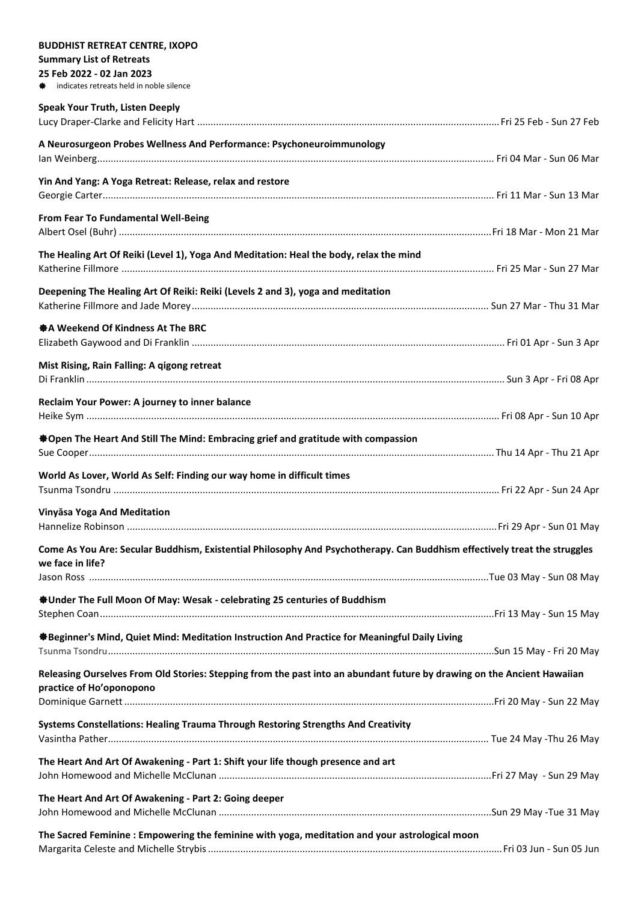| <b>BUDDHIST RETREAT CENTRE, IXOPO</b>                                                                                                         |  |
|-----------------------------------------------------------------------------------------------------------------------------------------------|--|
| <b>Summary List of Retreats</b>                                                                                                               |  |
| 25 Feb 2022 - 02 Jan 2023<br><b><math>\triangleq</math></b> indicates retreats held in noble silence                                          |  |
|                                                                                                                                               |  |
| <b>Speak Your Truth, Listen Deeply</b>                                                                                                        |  |
| A Neurosurgeon Probes Wellness And Performance: Psychoneuroimmunology                                                                         |  |
| Yin And Yang: A Yoga Retreat: Release, relax and restore                                                                                      |  |
| From Fear To Fundamental Well-Being                                                                                                           |  |
| The Healing Art Of Reiki (Level 1), Yoga And Meditation: Heal the body, relax the mind                                                        |  |
| Deepening The Healing Art Of Reiki: Reiki (Levels 2 and 3), yoga and meditation                                                               |  |
| ※ A Weekend Of Kindness At The BRC                                                                                                            |  |
| Mist Rising, Rain Falling: A qigong retreat                                                                                                   |  |
| Reclaim Your Power: A journey to inner balance                                                                                                |  |
| ※ Open The Heart And Still The Mind: Embracing grief and gratitude with compassion                                                            |  |
| World As Lover, World As Self: Finding our way home in difficult times                                                                        |  |
|                                                                                                                                               |  |
| Vinyāsa Yoga And Meditation                                                                                                                   |  |
|                                                                                                                                               |  |
| Come As You Are: Secular Buddhism, Existential Philosophy And Psychotherapy. Can Buddhism effectively treat the struggles<br>we face in life? |  |
|                                                                                                                                               |  |
| <b><math>\clubsuit</math> Under The Full Moon Of May: Wesak - celebrating 25 centuries of Buddhism</b>                                        |  |
| ※Beginner's Mind, Quiet Mind: Meditation Instruction And Practice for Meaningful Daily Living                                                 |  |
| Releasing Ourselves From Old Stories: Stepping from the past into an abundant future by drawing on the Ancient Hawaiian                       |  |
| practice of Ho'oponopono                                                                                                                      |  |
| Systems Constellations: Healing Trauma Through Restoring Strengths And Creativity                                                             |  |
| The Heart And Art Of Awakening - Part 1: Shift your life though presence and art                                                              |  |
| The Heart And Art Of Awakening - Part 2: Going deeper                                                                                         |  |
| The Sacred Feminine: Empowering the feminine with yoga, meditation and your astrological moon                                                 |  |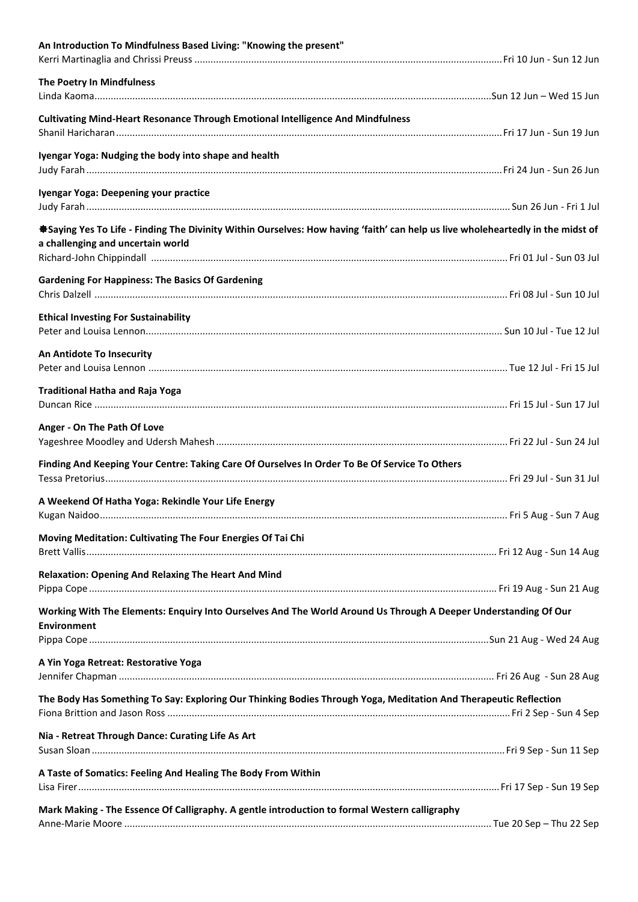| An Introduction To Mindfulness Based Living: "Knowing the present"                                                                    |  |
|---------------------------------------------------------------------------------------------------------------------------------------|--|
| The Poetry In Mindfulness                                                                                                             |  |
|                                                                                                                                       |  |
| Cultivating Mind-Heart Resonance Through Emotional Intelligence And Mindfulness                                                       |  |
| Iyengar Yoga: Nudging the body into shape and health                                                                                  |  |
| Iyengar Yoga: Deepening your practice                                                                                                 |  |
| *Saying Yes To Life - Finding The Divinity Within Ourselves: How having 'faith' can help us live wholeheartedly in the midst of       |  |
| a challenging and uncertain world                                                                                                     |  |
| <b>Gardening For Happiness: The Basics Of Gardening</b>                                                                               |  |
| <b>Ethical Investing For Sustainability</b>                                                                                           |  |
|                                                                                                                                       |  |
| An Antidote To Insecurity                                                                                                             |  |
| <b>Traditional Hatha and Raja Yoga</b>                                                                                                |  |
| Anger - On The Path Of Love                                                                                                           |  |
| Finding And Keeping Your Centre: Taking Care Of Ourselves In Order To Be Of Service To Others                                         |  |
| A Weekend Of Hatha Yoga: Rekindle Your Life Energy                                                                                    |  |
| Moving Meditation: Cultivating The Four Energies Of Tai Chi                                                                           |  |
| <b>Relaxation: Opening And Relaxing The Heart And Mind</b>                                                                            |  |
|                                                                                                                                       |  |
| Working With The Elements: Enquiry Into Ourselves And The World Around Us Through A Deeper Understanding Of Our<br><b>Environment</b> |  |
|                                                                                                                                       |  |
| A Yin Yoga Retreat: Restorative Yoga                                                                                                  |  |
| The Body Has Something To Say: Exploring Our Thinking Bodies Through Yoga, Meditation And Therapeutic Reflection                      |  |
| Nia - Retreat Through Dance: Curating Life As Art                                                                                     |  |
|                                                                                                                                       |  |
| A Taste of Somatics: Feeling And Healing The Body From Within                                                                         |  |
| Mark Making - The Essence Of Calligraphy. A gentle introduction to formal Western calligraphy                                         |  |
|                                                                                                                                       |  |